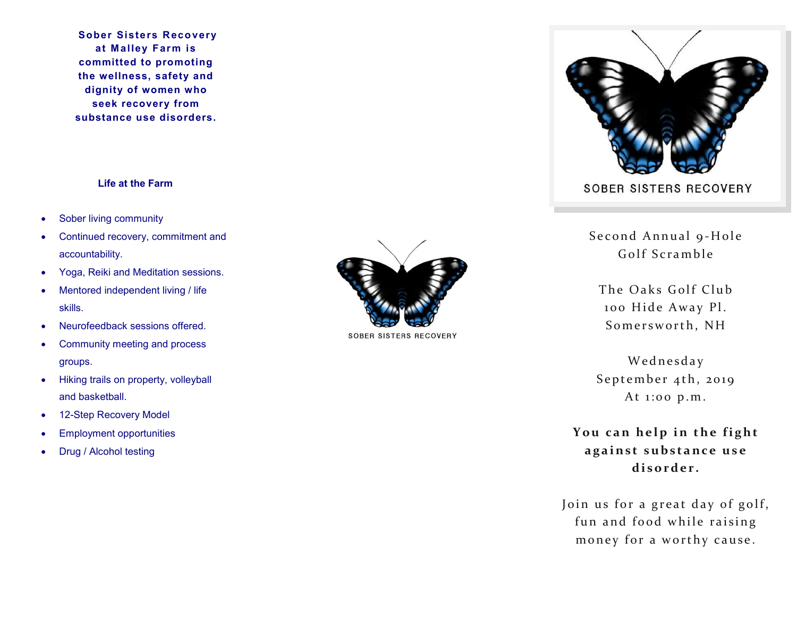**Sober Sisters Recovery at M alley Farm is committed to promoting the wellness, safety and dignity of women who seek recovery from substance use disorders.**

## **Life at the Farm**

- Sober living community
- Continued recovery, commitment and accountability.
- Yoga, Reiki and Meditation sessions.
- Mentored independent living / life skills.
- Neurofeedback sessions offered.
- Community meeting and process groups.
- Hiking trails on property, volleyball and basketball.
- 12-Step Recovery Model
- Employment opportunities
- Drug / Alcohol testing



**SOBER SISTERS RECOVERY** 



Second Annual 9-Hole Golf Scramble

The Oaks Golf Club 100 Hide Away Pl. Somersworth, NH

Wednesday September 4th, 2019 At 1:00 p.m.

You can help in the fight **a g a i n s t s u b s t a n c e u s e**  disorder.

Join us for a great day of golf, fun and food while raising money for a worthy cause.